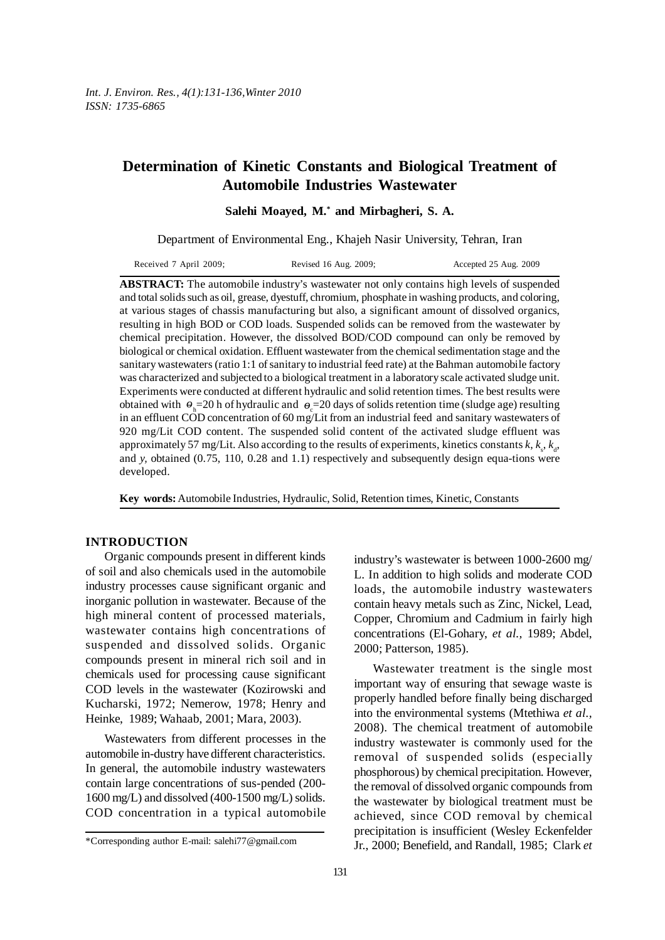# **Determination of Kinetic Constants and Biological Treatment of Automobile Industries Wastewater**

**Salehi Moayed, M.\* and Mirbagheri, S. A.**

Department of Environmental Eng., Khajeh Nasir University, Tehran, Iran

| Received 7 April 2009; | Revised 16 Aug. 2009; | Accepted 25 Aug. 2009 |
|------------------------|-----------------------|-----------------------|
|------------------------|-----------------------|-----------------------|

ABSTRACT: The automobile industry's wastewater not only contains high levels of suspended and total solids such as oil, grease, dyestuff, chromium, phosphate in washing products, and coloring, at various stages of chassis manufacturing but also, a significant amount of dissolved organics, resulting in high BOD or COD loads. Suspended solids can be removed from the wastewater by chemical precipitation. However, the dissolved BOD/COD compound can only be removed by biological or chemical oxidation. Effluent wastewater from the chemical sedimentation stage and the sanitary wastewaters (ratio 1:1 of sanitary to industrial feed rate) at the Bahman automobile factory was characterized and subjected to a biological treatment in a laboratory scale activated sludge unit. Experiments were conducted at different hydraulic and solid retention times. The best results were obtained with  $\theta_h = 20$  h of hydraulic and  $\theta_c = 20$  days of solids retention time (sludge age) resulting in an effluent COD concentration of 60 mg/Lit from an industrial feed and sanitary wastewaters of 920 mg/Lit COD content. The suspended solid content of the activated sludge effluent was approximately 57 mg/Lit. Also according to the results of experiments, kinetics constants  $k$ ,  $k<sub>s</sub>$ ,  $k<sub>d</sub>$ , and *y,* obtained (0.75, 110, 0.28 and 1.1) respectively and subsequently design equa-tions were developed.

**Key words:** Automobile Industries, Hydraulic, Solid, Retention times, Kinetic, Constants

### **INTRODUCTION**

Organic compounds present in different kinds of soil and also chemicals used in the automobile industry processes cause significant organic and inorganic pollution in wastewater. Because of the high mineral content of processed materials, wastewater contains high concentrations of suspended and dissolved solids. Organic compounds present in mineral rich soil and in chemicals used for processing cause significant COD levels in the wastewater (Kozirowski and Kucharski, 1972; Nemerow, 1978; Henry and Heinke, 1989; Wahaab, 2001; Mara, 2003).

Wastewaters from different processes in the automobile in-dustry have different characteristics. In general, the automobile industry wastewaters contain large concentrations of sus-pended (200- 1600 mg/L) and dissolved (400-1500 mg/L) solids. COD concentration in a typical automobile

industry's wastewater is between 1000-2600 mg/ L. In addition to high solids and moderate COD loads, the automobile industry wastewaters contain heavy metals such as Zinc, Nickel, Lead, Copper, Chromium and Cadmium in fairly high concentrations (El-Gohary, *et al.,* 1989; Abdel, 2000; Patterson, 1985).

Wastewater treatment is the single most important way of ensuring that sewage waste is properly handled before finally being discharged into the environmental systems (Mtethiwa *et al.,* 2008). The chemical treatment of automobile industry wastewater is commonly used for the removal of suspended solids (especially phosphorous) by chemical precipitation. However, the removal of dissolved organic compounds from the wastewater by biological treatment must be achieved, since COD removal by chemical precipitation is insufficient (Wesley Eckenfelder Jr., 2000; Benefield, and Randall, 1985; Clark *et*

<sup>\*</sup>Corresponding author E-mail: salehi77@gmail.com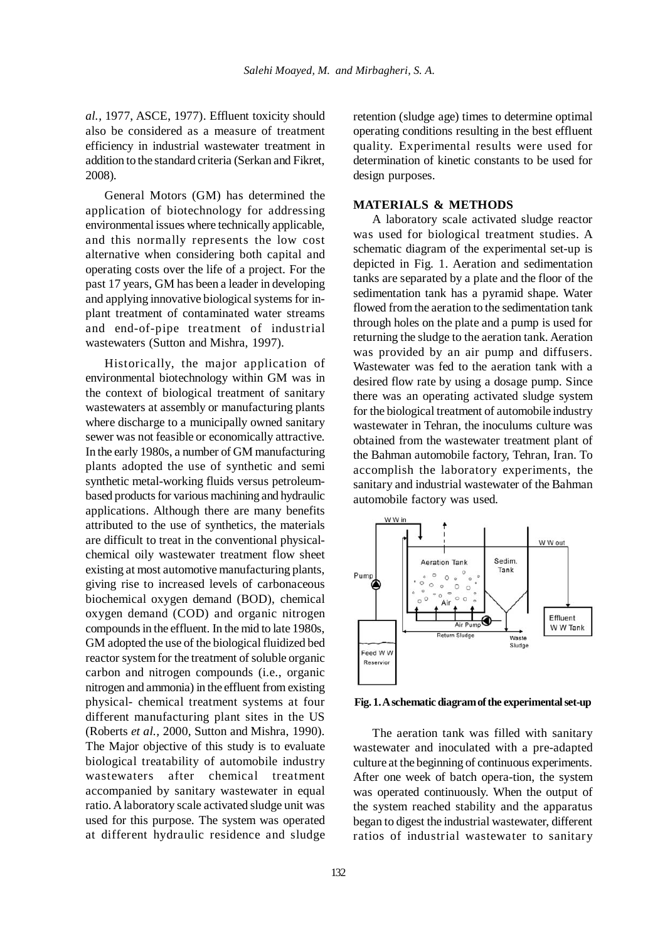*al.,* 1977, ASCE, 1977). Effluent toxicity should also be considered as a measure of treatment efficiency in industrial wastewater treatment in addition to the standard criteria (Serkan and Fikret, 2008).

General Motors (GM) has determined the application of biotechnology for addressing environmental issues where technically applicable, and this normally represents the low cost alternative when considering both capital and operating costs over the life of a project. For the past 17 years, GM has been a leader in developing and applying innovative biological systems for inplant treatment of contaminated water streams and end-of-pipe treatment of industrial wastewaters (Sutton and Mishra, 1997).

Historically, the major application of environmental biotechnology within GM was in the context of biological treatment of sanitary wastewaters at assembly or manufacturing plants where discharge to a municipally owned sanitary sewer was not feasible or economically attractive. In the early 1980s, a number of GM manufacturing plants adopted the use of synthetic and semi synthetic metal-working fluids versus petroleumbased products for various machining and hydraulic applications. Although there are many benefits attributed to the use of synthetics, the materials are difficult to treat in the conventional physicalchemical oily wastewater treatment flow sheet existing at most automotive manufacturing plants, giving rise to increased levels of carbonaceous biochemical oxygen demand (BOD), chemical oxygen demand (COD) and organic nitrogen compounds in the effluent. In the mid to late 1980s, GM adopted the use of the biological fluidized bed reactor system for the treatment of soluble organic carbon and nitrogen compounds (i.e., organic nitrogen and ammonia) in the effluent from existing physical- chemical treatment systems at four different manufacturing plant sites in the US (Roberts *et al.,* 2000, Sutton and Mishra, 1990). The Major objective of this study is to evaluate biological treatability of automobile industry wastewaters after chemical treatment accompanied by sanitary wastewater in equal ratio. A laboratory scale activated sludge unit was used for this purpose. The system was operated at different hydraulic residence and sludge retention (sludge age) times to determine optimal operating conditions resulting in the best effluent quality. Experimental results were used for determination of kinetic constants to be used for design purposes.

## **MATERIALS & METHODS**

A laboratory scale activated sludge reactor was used for biological treatment studies. A schematic diagram of the experimental set-up is depicted in Fig. 1. Aeration and sedimentation tanks are separated by a plate and the floor of the sedimentation tank has a pyramid shape. Water flowed from the aeration to the sedimentation tank through holes on the plate and a pump is used for returning the sludge to the aeration tank. Aeration was provided by an air pump and diffusers. Wastewater was fed to the aeration tank with a desired flow rate by using a dosage pump. Since there was an operating activated sludge system for the biological treatment of automobile industry wastewater in Tehran, the inoculums culture was obtained from the wastewater treatment plant of the Bahman automobile factory, Tehran, Iran. To accomplish the laboratory experiments, the sanitary and industrial wastewater of the Bahman automobile factory was used.



**Fig. 1. A schematic diagram of the experimental set-up**

The aeration tank was filled with sanitary wastewater and inoculated with a pre-adapted culture at the beginning of continuous experiments. After one week of batch opera-tion, the system was operated continuously. When the output of the system reached stability and the apparatus began to digest the industrial wastewater, different ratios of industrial wastewater to sanitary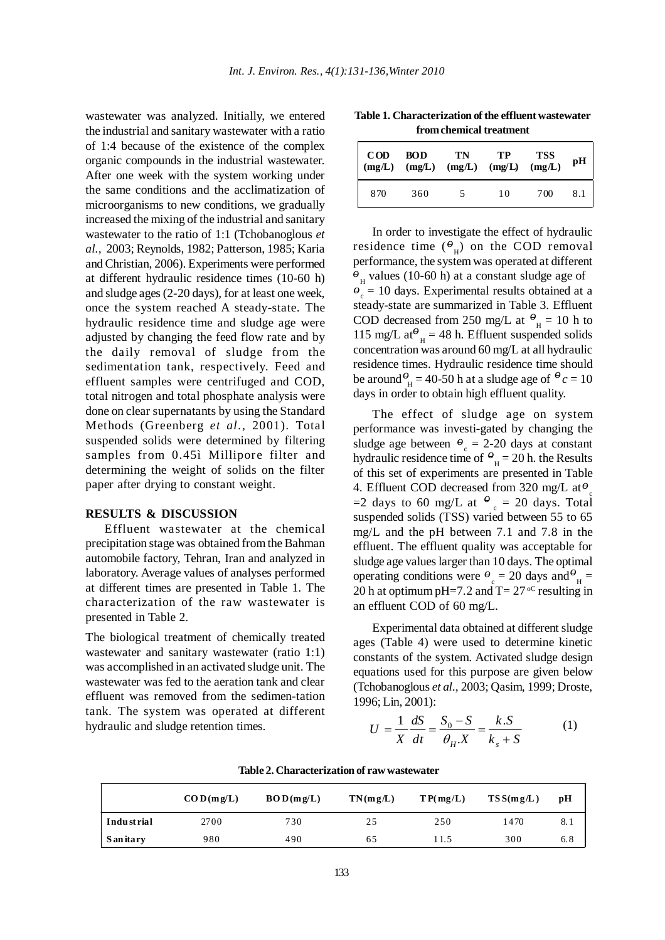wastewater was analyzed. Initially, we entered the industrial and sanitary wastewater with a ratio of 1:4 because of the existence of the complex organic compounds in the industrial wastewater. After one week with the system working under the same conditions and the acclimatization of microorganisms to new conditions, we gradually increased the mixing of the industrial and sanitary wastewater to the ratio of 1:1 (Tchobanoglous *et al.,* 2003; Reynolds, 1982; Patterson, 1985; Karia and Christian, 2006). Experiments were performed at different hydraulic residence times (10-60 h) and sludge ages (2-20 days), for at least one week, once the system reached A steady-state. The hydraulic residence time and sludge age were adjusted by changing the feed flow rate and by the daily removal of sludge from the sedimentation tank, respectively. Feed and effluent samples were centrifuged and COD, total nitrogen and total phosphate analysis were done on clear supernatants by using the Standard Methods (Greenberg *et al.,* 2001). Total suspended solids were determined by filtering samples from 0.45ì Millipore filter and determining the weight of solids on the filter paper after drying to constant weight.

#### **RESULTS & DISCUSSION**

Effluent wastewater at the chemical precipitation stage was obtained from the Bahman automobile factory, Tehran, Iran and analyzed in laboratory. Average values of analyses performed at different times are presented in Table 1. The characterization of the raw wastewater is presented in Table 2.

The biological treatment of chemically treated wastewater and sanitary wastewater (ratio 1:1) was accomplished in an activated sludge unit. The wastewater was fed to the aeration tank and clear effluent was removed from the sedimen-tation tank. The system was operated at different hydraulic and sludge retention times.

**Table 1. Characterization of the effluent wastewater from chemical treatment**

| $\mathbf{COD}$<br>(mg/L) | <b>BOD</b> | TN<br>$(mg/L)$ $(mg/L)$ $(mg/L)$ | TP | <b>TSS</b><br>(mg/L) | pН  |
|--------------------------|------------|----------------------------------|----|----------------------|-----|
| 870                      | 360        | 5                                | 10 | 700                  | 8.1 |

In order to investigate the effect of hydraulic residence time  $(\theta_{\text{H}})$  on the COD removal performance, the system was operated at different  $\hat{\theta}_{\text{H}}$  values (10-60 h) at a constant sludge age of  $\hat{e}_c = 10$  days. Experimental results obtained at a steady-state are summarized in Table 3. Effluent COD decreased from 250 mg/L at  $\theta$ <sub>H</sub> = 10 h to 115 mg/L at<sup> $\theta$ </sup><sub>H</sub> = 48 h. Effluent suspended solids concentration was around 60 mg/L at all hydraulic residence times. Hydraulic residence time should be around  $\theta_H = 40$ -50 h at a sludge age of  $\theta_c = 10$ days in order to obtain high effluent quality.

The effect of sludge age on system performance was investi-gated by changing the sludge age between  $\theta_c = 2{\text -}20$  days at constant hydraulic residence time of  $\theta_{\text{H}} = 20$  h. the Results of this set of experiments are presented in Table 4. Effluent COD decreased from 320 mg/L at  $\theta_c$  $=$ 2 days to 60 mg/L at  $\theta_c = 20$  days. Total suspended solids (TSS) varied between 55 to 65 mg/L and the pH between 7.1 and 7.8 in the effluent. The effluent quality was acceptable for sludge age values larger than 10 days. The optimal operating conditions were  $\theta_c = 20$  days and  $\theta_H =$ 20 h at optimum pH=7.2 and  $T = 27<sup>oC</sup>$  resulting in an effluent COD of 60 mg/L.

Experimental data obtained at different sludge ages (Table 4) were used to determine kinetic constants of the system. Activated sludge design equations used for this purpose are given below (Tchobanoglous *et al.,* 2003; Qasim, 1999; Droste, 1996; Lin, 2001):

$$
U = \frac{1}{X} \frac{dS}{dt} = \frac{S_0 - S}{\theta_H X} = \frac{k.S}{k_s + S}
$$
 (1)

|            | $\mathbf{COD}(\mathbf{mg}/\mathbf{L})$ | BOD(mg/L) | TN(mg/L) | T P(mg/L) | TSS(mg/L) | pН  |
|------------|----------------------------------------|-----------|----------|-----------|-----------|-----|
| Industrial | 2700                                   | 730       | 25       | 250       | 1470      | 8.1 |
| S an itary | 980                                    | 490       | 65       | 11.5      | 300       | 6.8 |

**Table 2. Characterization of raw wastewater**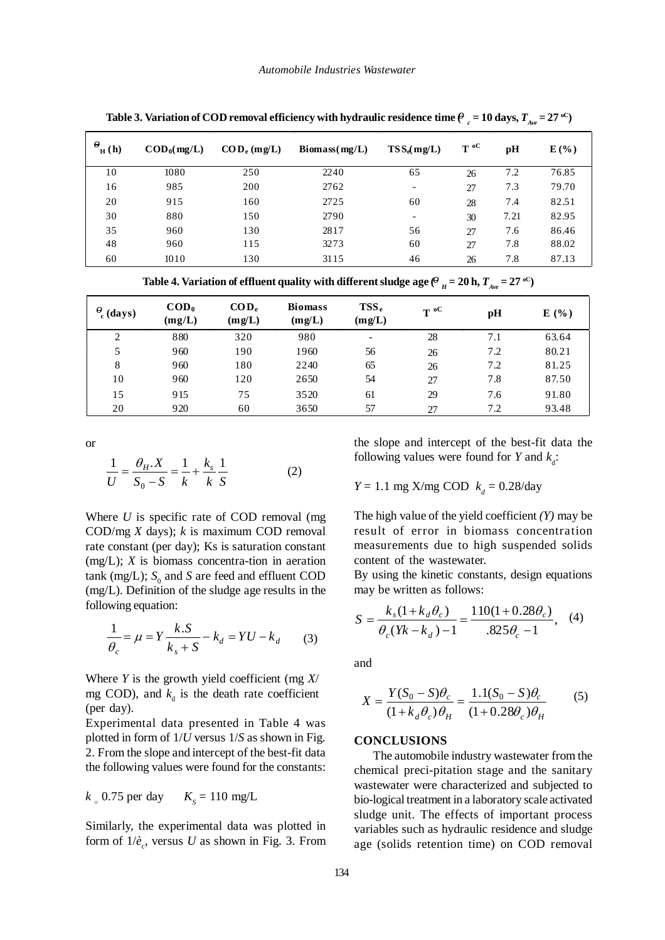| $\theta$<br>$H_{\rm H}(\bf{h})$ | $\mathbf{COD}_0(\text{mg/L})$ | $\mathbf{COD}_{e}$ (mg/L) | $\mathbf{Biomass}(\text{mg/L})$ | $TSS_e(mg/L)$            | $T^{\rm oc}$ | pH   | $E(\%)$ |
|---------------------------------|-------------------------------|---------------------------|---------------------------------|--------------------------|--------------|------|---------|
| 10                              | 1080                          | 250                       | 2240                            | 65                       | 26           | 7.2  | 76.85   |
| 16                              | 985                           | 200                       | 2762                            | $\overline{\phantom{a}}$ | 27           | 7.3  | 79.70   |
| 20                              | 915                           | 160                       | 2725                            | 60                       | 28           | 7.4  | 82.51   |
| 30                              | 880                           | 150                       | 2790                            | $\overline{\phantom{a}}$ | 30           | 7.21 | 82.95   |
| 35                              | 960                           | 130                       | 2817                            | 56                       | 27           | 7.6  | 86.46   |
| 48                              | 960                           | 115                       | 3273                            | 60                       | 27           | 7.8  | 88.02   |
| 60                              | 1010                          | 130                       | 3115                            | 46                       | 26           | 7.8  | 87.13   |

Table 3. Variation of COD removal efficiency with hydraulic residence time  $\theta_c$  = 10 days,  $T_{_{Ave}}$  = 27  $^{o}$ C)

Table 4. Variation of effluent quality with different sludge age ( $^{\theta}$   $_H$  = 20 h,  $T_{_{A\nu e}}$  = 27  $^{\text{oC}}$ )

| $\frac{\theta}{c}$ (days) | $\mathbf{COD}_0$<br>(mg/L) | $\mathbf{COD}_{e}$<br>(mg/L) | <b>Biomass</b><br>(mg/L) | TSS <sub>e</sub><br>(mg/L) | $T^0$ | pH  | E(%)  |
|---------------------------|----------------------------|------------------------------|--------------------------|----------------------------|-------|-----|-------|
| 2                         | 880                        | 320                          | 980                      | $\overline{\phantom{a}}$   | 28    | 7.1 | 63.64 |
| 5                         | 960                        | 190                          | 1960                     | 56                         | 26    | 7.2 | 80.21 |
| 8                         | 960                        | 180                          | 2240                     | 65                         | 26    | 7.2 | 81.25 |
| 10                        | 960                        | 120                          | 2650                     | 54                         | 27    | 7.8 | 87.50 |
| 15                        | 915                        | 75                           | 3520                     | 61                         | 29    | 7.6 | 91.80 |
| 20                        | 920                        | 60                           | 3650                     | 57                         | 27    | 7.2 | 93.48 |

or

$$
\frac{1}{U} = \frac{\theta_H.X}{S_0 - S} = \frac{1}{k} + \frac{k_s}{k} \frac{1}{S}
$$
 (2)

Where *U* is specific rate of COD removal (mg COD/mg *X* days); *k* is maximum COD removal rate constant (per day); Ks is saturation constant (mg/L); *X* is biomass concentra-tion in aeration  $tanh$  (mg/L);  $S_0$  and *S* are feed and effluent COD (mg/L). Definition of the sludge age results in the following equation:

$$
\frac{1}{\theta_c} = \mu = Y \frac{k.S}{k_s + S} - k_d = YU - k_d \tag{3}
$$

Where *Y* is the growth yield coefficient (mg *X*/ mg COD), and  $k_d$  is the death rate coefficient (per day).

Experimental data presented in Table 4 was plotted in form of 1/*U* versus 1/*S* as shown in Fig. 2. From the slope and intercept of the best-fit data the following values were found for the constants:

$$
k = 0.75 \text{ per day} \qquad K_s = 110 \text{ mg/L}
$$

Similarly, the experimental data was plotted in form of  $1/\dot{e}_c$ , versus *U* as shown in Fig. 3. From

the slope and intercept of the best-fit data the following values were found for *Y* and  $k_d$ :

*Y* = 1.1 mg X/mg COD  $k_a$  = 0.28/day

The high value of the yield coefficient *(Y)* may be result of error in biomass concentration measurements due to high suspended solids content of the wastewater.

By using the kinetic constants, design equations may be written as follows:

$$
S = \frac{k_s(1 + k_d \theta_c)}{\theta_c(Yk - k_d) - 1} = \frac{110(1 + 0.28\theta_c)}{.825\theta_c - 1},
$$
 (4)

and

$$
X = \frac{Y(S_0 - S)\theta_c}{(1 + k_d \theta_c)\theta_H} = \frac{1.1(S_0 - S)\theta_c}{(1 + 0.28\theta_c)\theta_H}
$$
(5)

### **CONCLUSIONS**

The automobile industry wastewater from the chemical preci-pitation stage and the sanitary wastewater were characterized and subjected to bio-logical treatment in a laboratory scale activated sludge unit. The effects of important process variables such as hydraulic residence and sludge age (solids retention time) on COD removal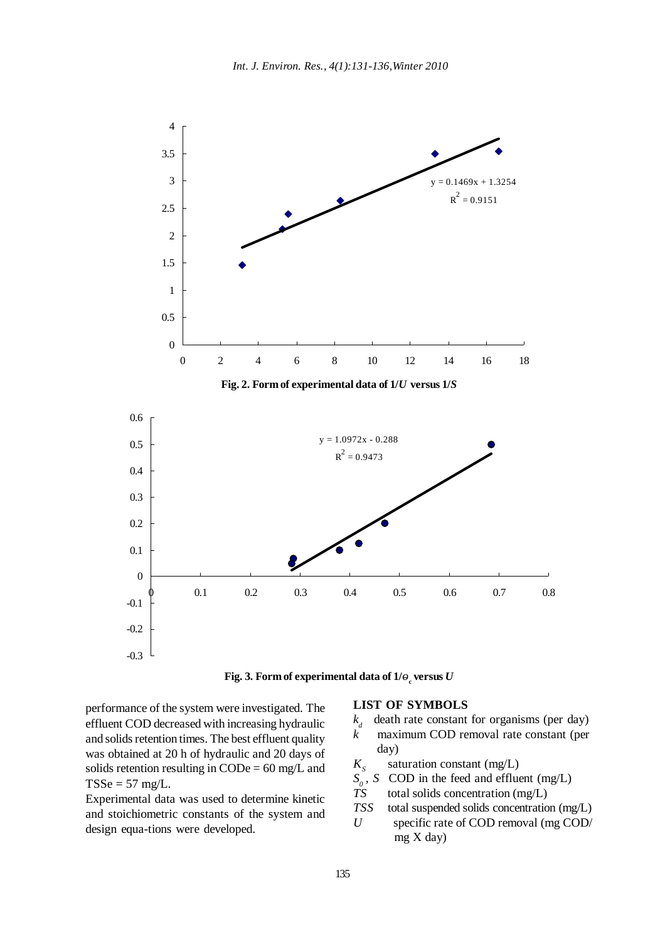



performance of the system were investigated. The effluent COD decreased with increasing hydraulic and solids retention times. The best effluent quality was obtained at 20 h of hydraulic and 20 days of solids retention resulting in CODe =  $60 \text{ mg/L}$  and  $TSSe = 57$  mg/L.

Experimental data was used to determine kinetic and stoichiometric constants of the system and design equa-tions were developed.

#### **LIST OF SYMBOLS**

- $k_d$ death rate constant for organisms (per day)
- $\vec{k}$  maximum COD removal rate constant (per day)
- $K<sub>s</sub>$  saturation constant (mg/L)
- $S_0$ , *S* COD in the feed and effluent (mg/L)<br>*TS* total solids concentration (mg/L)
- total solids concentration (mg/L)
- *TSS* total suspended solids concentration (mg/L)
- *U* specific rate of COD removal (mg COD/ mg X day)